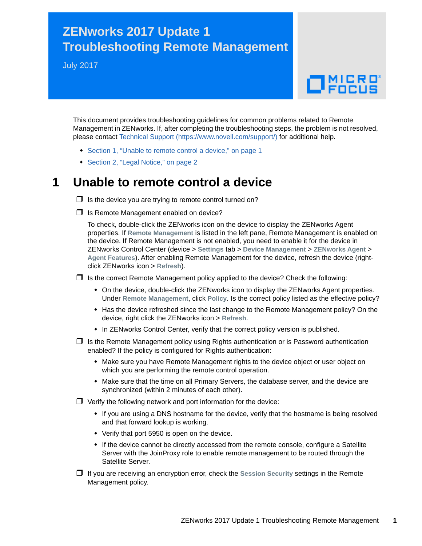## **ZENworks 2017 Update 1 Troubleshooting Remote Management**

July 2017

## $\Box$ MICRO

This document provides troubleshooting guidelines for common problems related to Remote Management in ZENworks. If, after completing the troubleshooting steps, the problem is not resolved, please contact [Technical Support](https://www.novell.com/support/) (https://www.novell.com/support/) for additional help.

- [Section 1, "Unable to remote control a device," on page 1](#page-0-0)
- ◆ [Section 2, "Legal Notice," on page 2](#page-1-0)

## <span id="page-0-0"></span>**1 Unable to remote control a device**

 $\Box$  Is the device you are trying to remote control turned on?

 $\Box$  Is Remote Management enabled on device?

To check, double-click the ZENworks icon on the device to display the ZENworks Agent properties. If **Remote Management** is listed in the left pane, Remote Management is enabled on the device. If Remote Management is not enabled, you need to enable it for the device in ZENworks Control Center (device > **Settings** tab > **Device Management** > **ZENworks Agent** > **Agent Features**). After enabling Remote Management for the device, refresh the device (rightclick ZENworks icon > **Refresh**).

 $\Box$  Is the correct Remote Management policy applied to the device? Check the following:

- On the device, double-click the ZENworks icon to display the ZENworks Agent properties. Under **Remote Management**, click **Policy**. Is the correct policy listed as the effective policy?
- Has the device refreshed since the last change to the Remote Management policy? On the device, right click the ZENworks icon > **Refresh**.
- In ZENworks Control Center, verify that the correct policy version is published.
- $\Box$  Is the Remote Management policy using Rights authentication or is Password authentication enabled? If the policy is configured for Rights authentication:
	- Make sure you have Remote Management rights to the device object or user object on which you are performing the remote control operation.
	- Make sure that the time on all Primary Servers, the database server, and the device are synchronized (within 2 minutes of each other).
- $\Box$  Verify the following network and port information for the device:
	- If you are using a DNS hostname for the device, verify that the hostname is being resolved and that forward lookup is working.
	- Verify that port 5950 is open on the device.
	- If the device cannot be directly accessed from the remote console, configure a Satellite Server with the JoinProxy role to enable remote management to be routed through the Satellite Server.
- If you are receiving an encryption error, check the **Session Security** settings in the Remote Management policy.